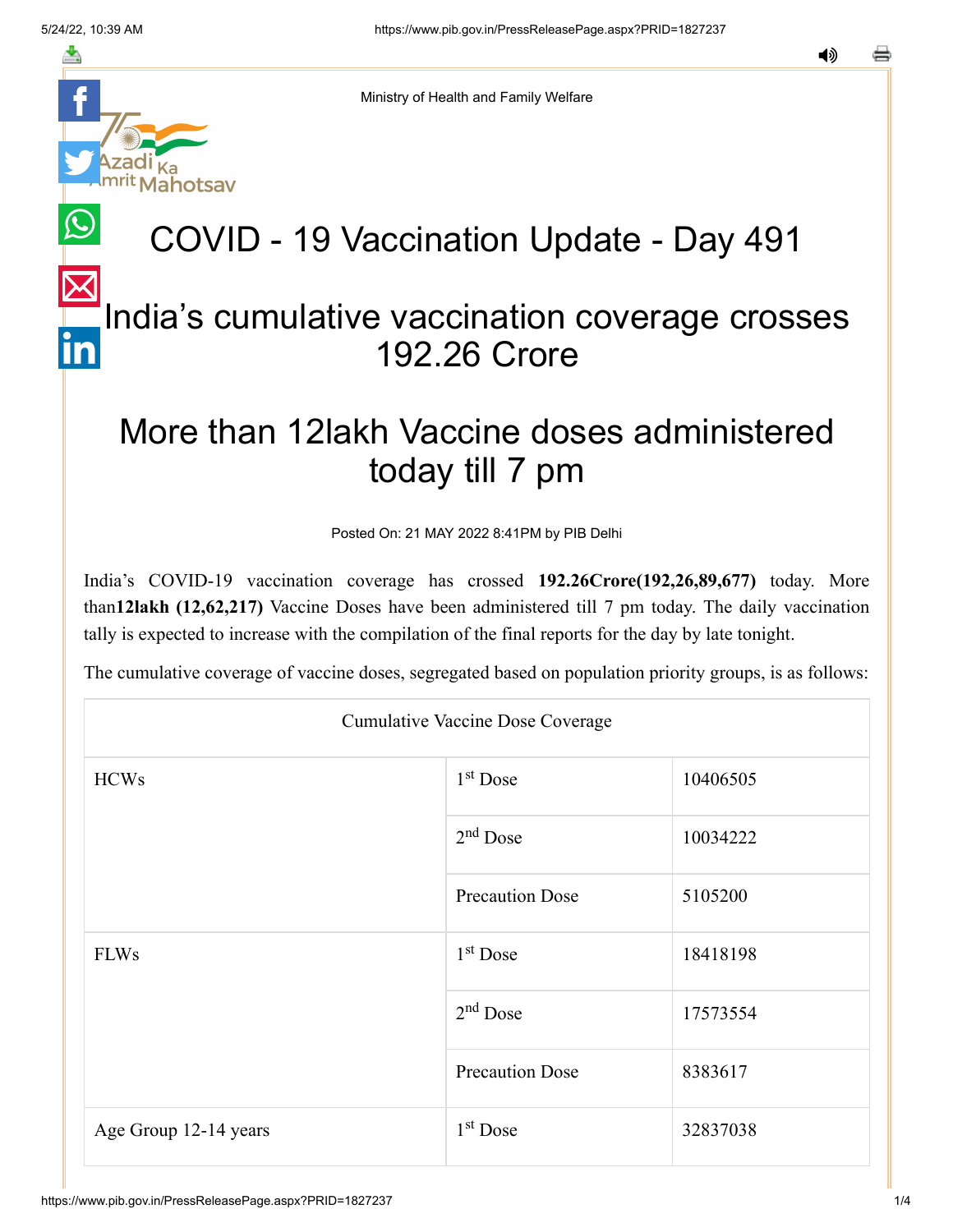

Ministry of Health and Family Welfare

## COVID - 19 Vaccination Update - Day 491

## [In](https://www.linkedin.com/shareArticle?mini=true&url=https://pib.gov.in/PressReleasePage.aspx?PRID=1827237&title=COVID%20-%2019%20Vaccination%20Update%20-%20Day%20491&summary=My%20favorite%20developer%20program&source=LinkedIn)dia's cumulative vaccination coverage crosses 192.26 Crore

## More than 12lakh Vaccine doses administered today till 7 pm

Posted On: 21 MAY 2022 8:41PM by PIB Delhi

India's COVID-19 vaccination coverage has crossed **192.26Crore(192,26,89,677)** today. More than**12lakh (12,62,217)** Vaccine Doses have been administered till 7 pm today. The daily vaccination tally is expected to increase with the compilation of the final reports for the day by late tonight.

The cumulative coverage of vaccine doses, segregated based on population priority groups, is as follows:

| <b>Cumulative Vaccine Dose Coverage</b> |                        |          |  |  |
|-----------------------------------------|------------------------|----------|--|--|
| <b>HCWs</b>                             | $1st$ Dose             | 10406505 |  |  |
|                                         | $2nd$ Dose             | 10034222 |  |  |
|                                         | <b>Precaution Dose</b> | 5105200  |  |  |
| <b>FLWs</b>                             | $1st$ Dose             | 18418198 |  |  |
|                                         | $2nd$ Dose             | 17573554 |  |  |
|                                         | <b>Precaution Dose</b> | 8383617  |  |  |
| Age Group 12-14 years                   | $1st$ Dose             | 32837038 |  |  |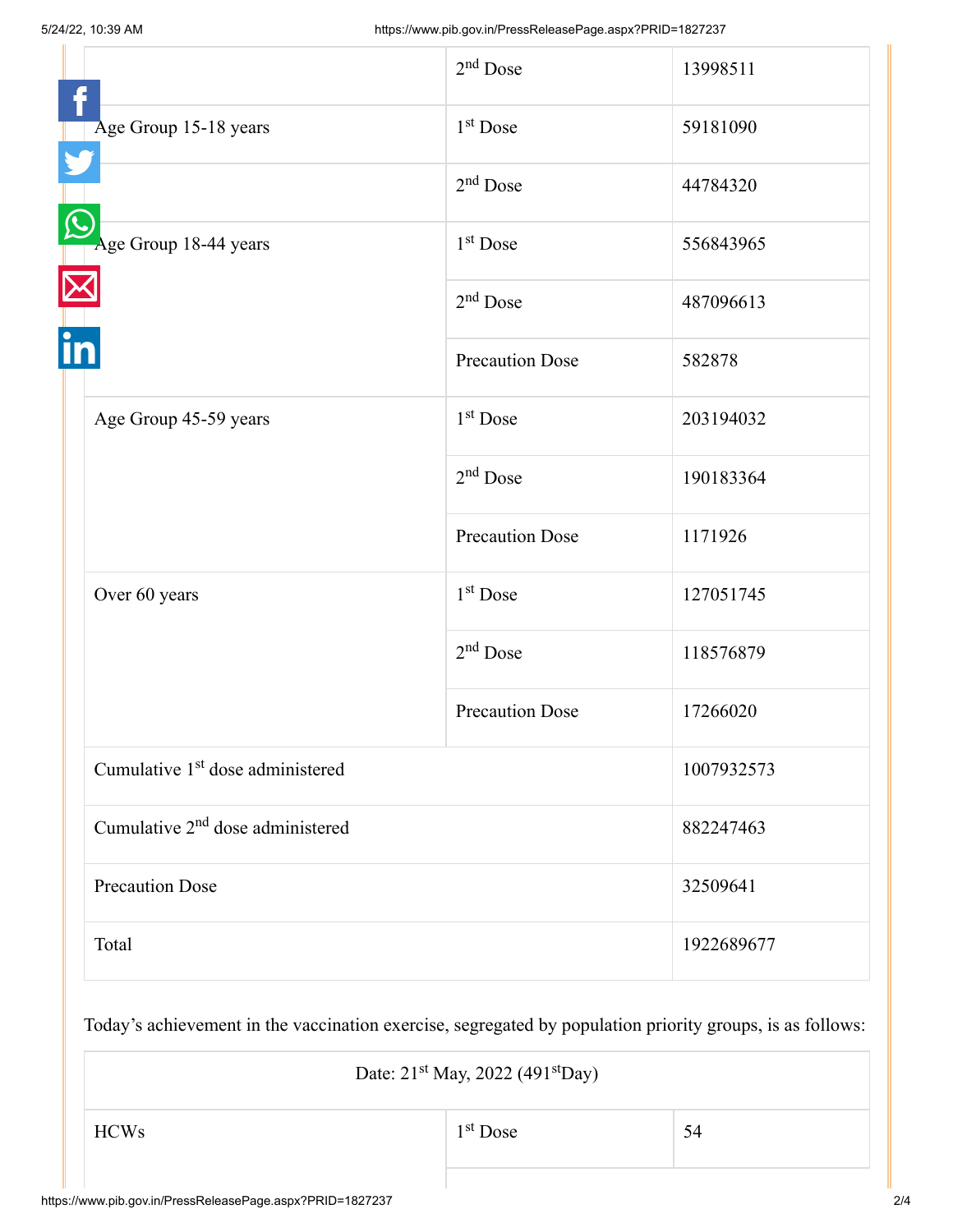|                                              | $2nd$ Dose             | 13998511   |
|----------------------------------------------|------------------------|------------|
| Age Group 15-18 years                        | 1 <sup>st</sup> Dose   | 59181090   |
|                                              | $2nd$ Dose             | 44784320   |
| Age Group 18-44 years                        | $1st$ Dose             | 556843965  |
|                                              | $2nd$ Dose             | 487096613  |
|                                              | <b>Precaution Dose</b> | 582878     |
| Age Group 45-59 years                        | 1 <sup>st</sup> Dose   | 203194032  |
|                                              | $2nd$ Dose             | 190183364  |
|                                              | <b>Precaution Dose</b> | 1171926    |
| Over 60 years                                | 1 <sup>st</sup> Dose   | 127051745  |
|                                              | $2nd$ Dose             | 118576879  |
|                                              | <b>Precaution Dose</b> | 17266020   |
| Cumulative 1 <sup>st</sup> dose administered |                        | 1007932573 |
| Cumulative 2 <sup>nd</sup> dose administered |                        | 882247463  |
| <b>Precaution Dose</b>                       |                        | 32509641   |
| Total                                        |                        | 1922689677 |

Today's achievement in the vaccination exercise, segregated by population priority groups, is as follows:

Date:  $21<sup>st</sup>$  May, 2022 (491 $<sup>st</sup>$ Day)</sup>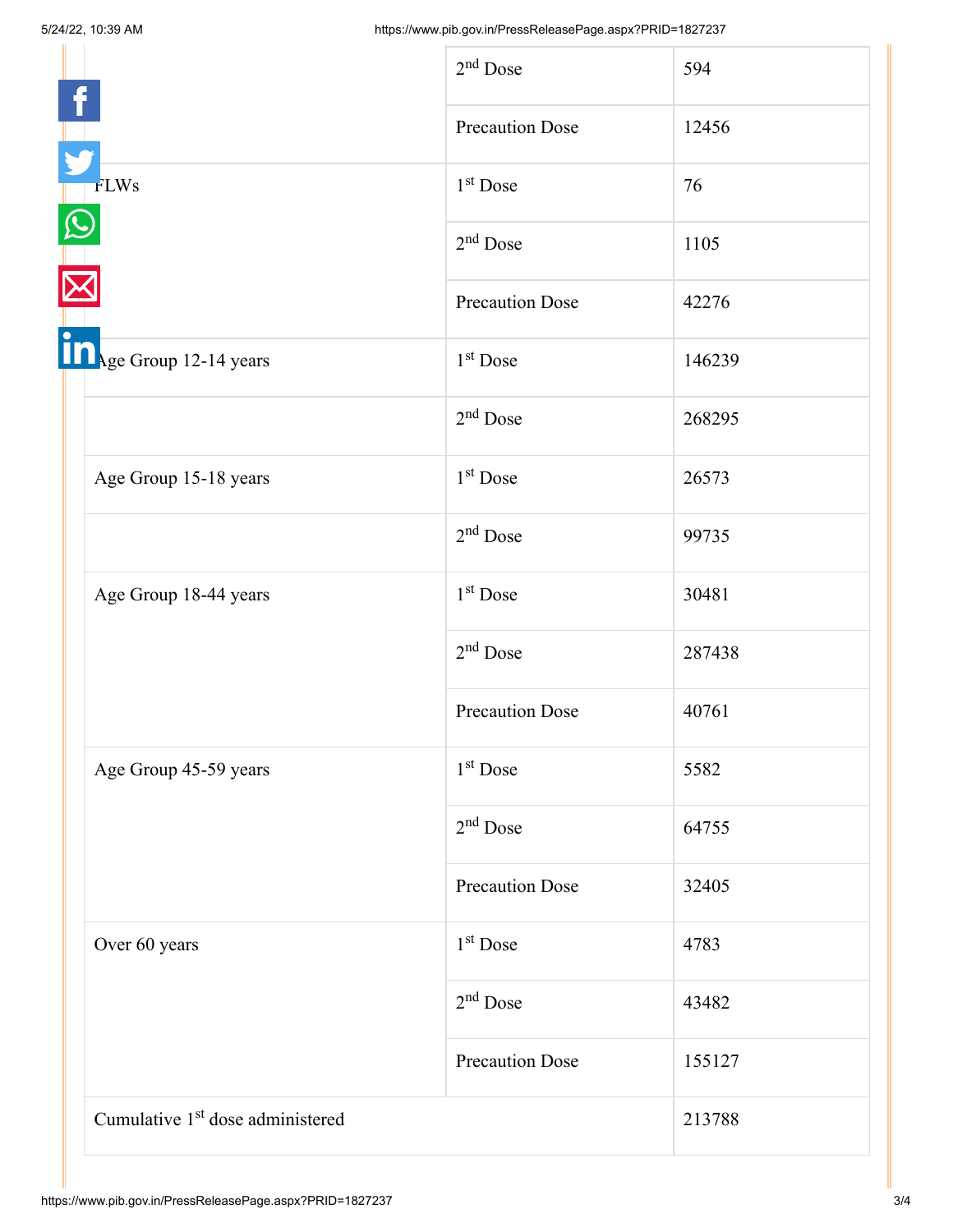|  |                                              | $2nd$ Dose             | 594    |
|--|----------------------------------------------|------------------------|--------|
|  |                                              | <b>Precaution Dose</b> | 12456  |
|  | <b>FLWs</b>                                  | 1 <sup>st</sup> Dose   | 76     |
|  |                                              | $2nd$ Dose             | 1105   |
|  |                                              | <b>Precaution Dose</b> | 42276  |
|  | Sandy Group 12-14 years                      | $1st$ Dose             | 146239 |
|  |                                              | $2nd$ Dose             | 268295 |
|  | Age Group 15-18 years                        | $1st$ Dose             | 26573  |
|  |                                              | $2nd$ Dose             | 99735  |
|  | Age Group 18-44 years                        | $1st$ Dose             | 30481  |
|  |                                              | $2nd$ Dose             | 287438 |
|  |                                              | <b>Precaution Dose</b> | 40761  |
|  | Age Group 45-59 years                        | $1st$ Dose             | 5582   |
|  |                                              | $2nd$ Dose             | 64755  |
|  |                                              | <b>Precaution Dose</b> | 32405  |
|  | Over 60 years                                | 1 <sup>st</sup> Dose   | 4783   |
|  |                                              | $2nd$ Dose             | 43482  |
|  |                                              | Precaution Dose        | 155127 |
|  | Cumulative 1 <sup>st</sup> dose administered |                        | 213788 |